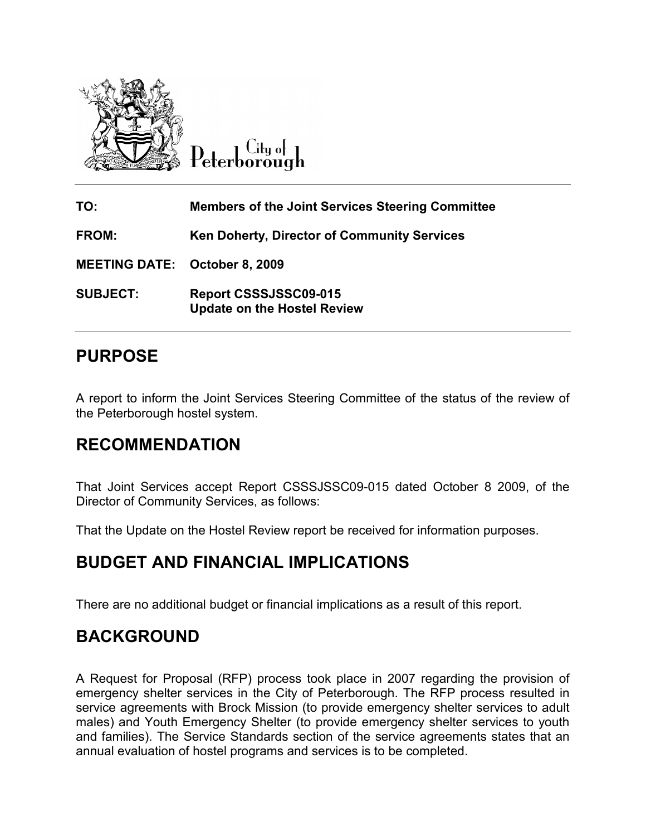

City of Peterborough

| TO:                                  | <b>Members of the Joint Services Steering Committee</b>     |
|--------------------------------------|-------------------------------------------------------------|
| FROM:                                | <b>Ken Doherty, Director of Community Services</b>          |
| <b>MEETING DATE: October 8, 2009</b> |                                                             |
| <b>SUBJECT:</b>                      | Report CSSSJSSC09-015<br><b>Update on the Hostel Review</b> |

## PURPOSE

A report to inform the Joint Services Steering Committee of the status of the review of the Peterborough hostel system.

## RECOMMENDATION

That Joint Services accept Report CSSSJSSC09-015 dated October 8 2009, of the Director of Community Services, as follows:

That the Update on the Hostel Review report be received for information purposes.

## BUDGET AND FINANCIAL IMPLICATIONS

There are no additional budget or financial implications as a result of this report.

## BACKGROUND

A Request for Proposal (RFP) process took place in 2007 regarding the provision of emergency shelter services in the City of Peterborough. The RFP process resulted in service agreements with Brock Mission (to provide emergency shelter services to adult males) and Youth Emergency Shelter (to provide emergency shelter services to youth and families). The Service Standards section of the service agreements states that an annual evaluation of hostel programs and services is to be completed.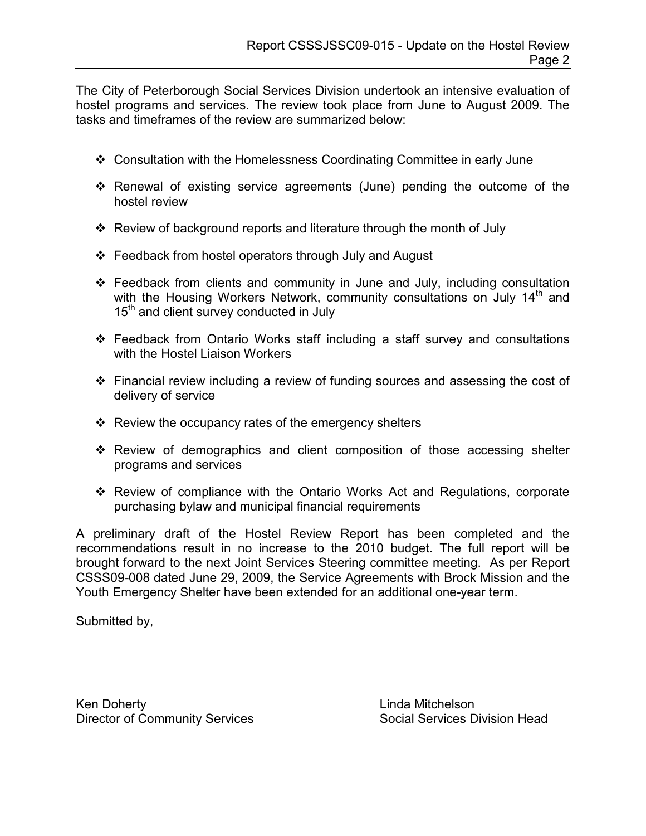The City of Peterborough Social Services Division undertook an intensive evaluation of hostel programs and services. The review took place from June to August 2009. The tasks and timeframes of the review are summarized below:

- Consultation with the Homelessness Coordinating Committee in early June
- $\div$  Renewal of existing service agreements (June) pending the outcome of the hostel review
- $\div$  Review of background reports and literature through the month of July
- ❖ Feedback from hostel operators through July and August
- $\div$  Feedback from clients and community in June and July, including consultation with the Housing Workers Network, community consultations on July  $14<sup>th</sup>$  and 15<sup>th</sup> and client survey conducted in July
- Feedback from Ontario Works staff including a staff survey and consultations with the Hostel Liaison Workers
- Financial review including a review of funding sources and assessing the cost of delivery of service
- $\div$  Review the occupancy rates of the emergency shelters
- $\div$  Review of demographics and client composition of those accessing shelter programs and services
- \* Review of compliance with the Ontario Works Act and Regulations, corporate purchasing bylaw and municipal financial requirements

A preliminary draft of the Hostel Review Report has been completed and the recommendations result in no increase to the 2010 budget. The full report will be brought forward to the next Joint Services Steering committee meeting. As per Report CSSS09-008 dated June 29, 2009, the Service Agreements with Brock Mission and the Youth Emergency Shelter have been extended for an additional one-year term.

Submitted by,

Ken Doherty **Linda Mitchelson** Director of Community Services Social Services Division Head